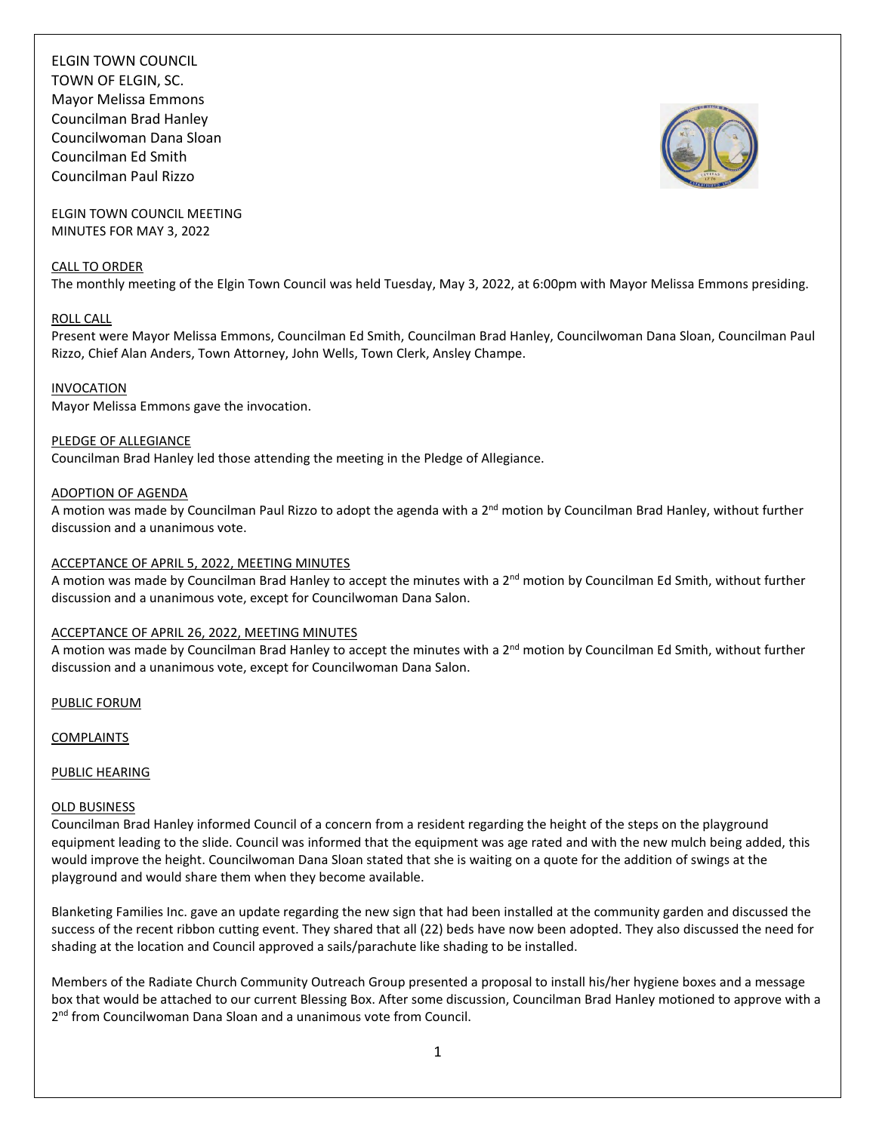ELGIN TOWN COUNCIL TOWN OF ELGIN, SC. Mayor Melissa Emmons Councilman Brad Hanley Councilwoman Dana Sloan Councilman Ed Smith Councilman Paul Rizzo



ELGIN TOWN COUNCIL MEETING MINUTES FOR MAY 3, 2022

## CALL TO ORDER

The monthly meeting of the Elgin Town Council was held Tuesday, May 3, 2022, at 6:00pm with Mayor Melissa Emmons presiding.

## ROLL CALL

Present were Mayor Melissa Emmons, Councilman Ed Smith, Councilman Brad Hanley, Councilwoman Dana Sloan, Councilman Paul Rizzo, Chief Alan Anders, Town Attorney, John Wells, Town Clerk, Ansley Champe.

#### INVOCATION

Mayor Melissa Emmons gave the invocation.

#### PLEDGE OF ALLEGIANCE

Councilman Brad Hanley led those attending the meeting in the Pledge of Allegiance.

## ADOPTION OF AGENDA

A motion was made by Councilman Paul Rizzo to adopt the agenda with a 2<sup>nd</sup> motion by Councilman Brad Hanley, without further discussion and a unanimous vote.

## ACCEPTANCE OF APRIL 5, 2022, MEETING MINUTES

A motion was made by Councilman Brad Hanley to accept the minutes with a 2<sup>nd</sup> motion by Councilman Ed Smith, without further discussion and a unanimous vote, except for Councilwoman Dana Salon.

#### ACCEPTANCE OF APRIL 26, 2022, MEETING MINUTES

A motion was made by Councilman Brad Hanley to accept the minutes with a 2<sup>nd</sup> motion by Councilman Ed Smith, without further discussion and a unanimous vote, except for Councilwoman Dana Salon.

PUBLIC FORUM

**COMPLAINTS** 

#### PUBLIC HEARING

#### OLD BUSINESS

Councilman Brad Hanley informed Council of a concern from a resident regarding the height of the steps on the playground equipment leading to the slide. Council was informed that the equipment was age rated and with the new mulch being added, this would improve the height. Councilwoman Dana Sloan stated that she is waiting on a quote for the addition of swings at the playground and would share them when they become available.

Blanketing Families Inc. gave an update regarding the new sign that had been installed at the community garden and discussed the success of the recent ribbon cutting event. They shared that all (22) beds have now been adopted. They also discussed the need for shading at the location and Council approved a sails/parachute like shading to be installed.

Members of the Radiate Church Community Outreach Group presented a proposal to install his/her hygiene boxes and a message box that would be attached to our current Blessing Box. After some discussion, Councilman Brad Hanley motioned to approve with a 2<sup>nd</sup> from Councilwoman Dana Sloan and a unanimous vote from Council.